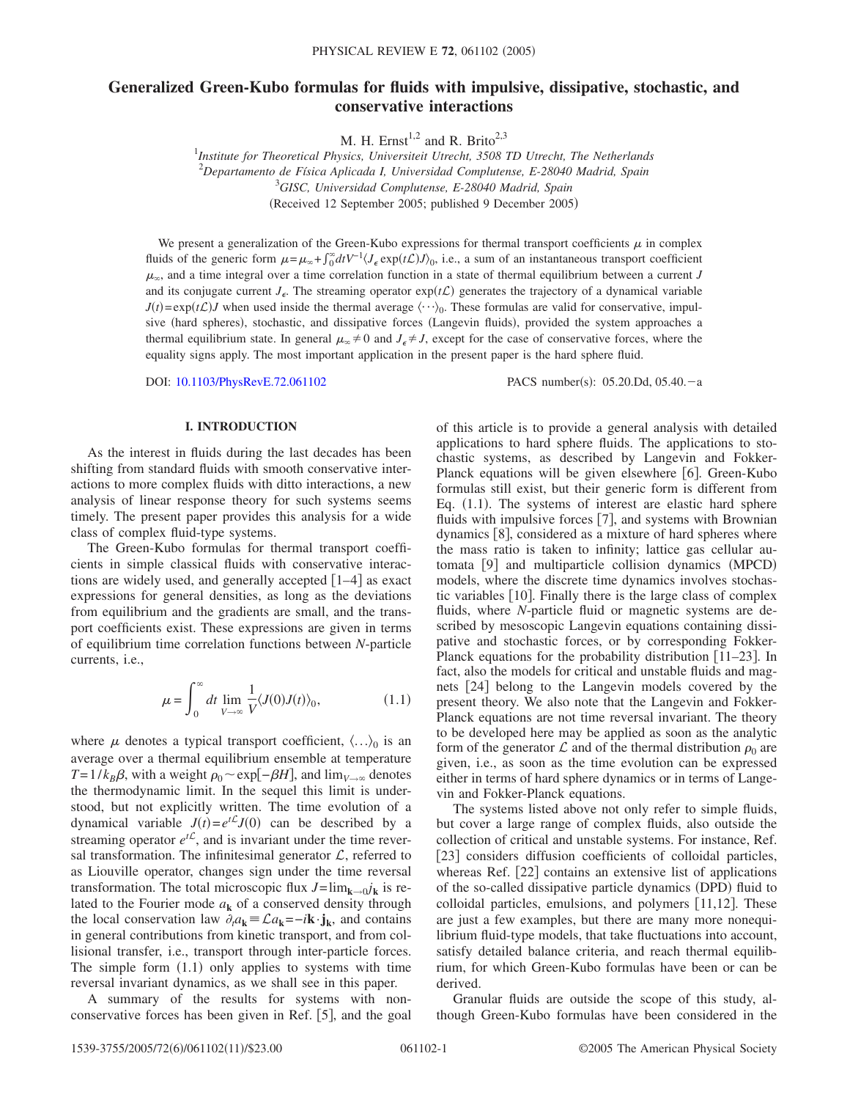# **Generalized Green-Kubo formulas for fluids with impulsive, dissipative, stochastic, and conservative interactions**

M. H. Ernst<sup>1,2</sup> and R. Brito<sup>2,3</sup>

 *Institute for Theoretical Physics, Universiteit Utrecht, 3508 TD Utrecht, The Netherlands Departamento de Física Aplicada I, Universidad Complutense, E-28040 Madrid, Spain GISC, Universidad Complutense, E-28040 Madrid, Spain* (Received 12 September 2005; published 9 December 2005)

We present a generalization of the Green-Kubo expressions for thermal transport coefficients  $\mu$  in complex fluids of the generic form  $\mu = \mu_{\infty} + \int_0^{\infty} dt V^{-1} \langle J_{\epsilon} \exp(t\mathcal{L}) J \rangle_0$ , i.e., a sum of an instantaneous transport coefficient  $\mu_{\infty}$ , and a time integral over a time correlation function in a state of thermal equilibrium between a current *J* and its conjugate current  $J_{\epsilon}$ . The streaming operator  $exp(t\mathcal{L})$  generates the trajectory of a dynamical variable  $J(t) = \exp(tC)J$  when used inside the thermal average  $\langle \cdots \rangle_0$ . These formulas are valid for conservative, impulsive (hard spheres), stochastic, and dissipative forces (Langevin fluids), provided the system approaches a thermal equilibrium state. In general  $\mu_{\infty} \neq 0$  and  $J_{\epsilon} \neq J$ , except for the case of conservative forces, where the equality signs apply. The most important application in the present paper is the hard sphere fluid.

DOI: [10.1103/PhysRevE.72.061102](http://dx.doi.org/10.1103/PhysRevE.72.061102)

PACS number(s): 05.20.Dd, 05.40.-a

## **I. INTRODUCTION**

As the interest in fluids during the last decades has been shifting from standard fluids with smooth conservative interactions to more complex fluids with ditto interactions, a new analysis of linear response theory for such systems seems timely. The present paper provides this analysis for a wide class of complex fluid-type systems.

The Green-Kubo formulas for thermal transport coefficients in simple classical fluids with conservative interactions are widely used, and generally accepted  $\lceil 1-4 \rceil$  as exact expressions for general densities, as long as the deviations from equilibrium and the gradients are small, and the transport coefficients exist. These expressions are given in terms of equilibrium time correlation functions between *N*-particle currents, i.e.,

$$
\mu = \int_0^\infty dt \lim_{V \to \infty} \frac{1}{V} \langle J(0)J(t) \rangle_0, \tag{1.1}
$$

where  $\mu$  denotes a typical transport coefficient,  $\langle ... \rangle_0$  is an average over a thermal equilibrium ensemble at temperature *T*=1/*k<sub>B</sub>* $\beta$ , with a weight  $\rho_0 \sim \exp[-\beta H]$ , and  $\lim_{V \to \infty}$  denotes the thermodynamic limit. In the sequel this limit is understood, but not explicitly written. The time evolution of a dynamical variable  $J(t) = e^{tL}J(0)$  can be described by a streaming operator  $e^{t\mathcal{L}}$ , and is invariant under the time reversal transformation. The infinitesimal generator  $\mathcal{L}$ , referred to as Liouville operator, changes sign under the time reversal transformation. The total microscopic flux  $J = \lim_{k \to 0} j_k$  is related to the Fourier mode  $a_k$  of a conserved density through the local conservation law  $\partial_t a_k = \mathcal{L} a_k = -i\mathbf{k} \cdot \mathbf{j}_k$ , and contains in general contributions from kinetic transport, and from collisional transfer, i.e., transport through inter-particle forces. The simple form  $(1.1)$  only applies to systems with time reversal invariant dynamics, as we shall see in this paper.

A summary of the results for systems with nonconservative forces has been given in Ref.  $[5]$ , and the goal of this article is to provide a general analysis with detailed applications to hard sphere fluids. The applications to stochastic systems, as described by Langevin and Fokker-Planck equations will be given elsewhere [6]. Green-Kubo formulas still exist, but their generic form is different from Eq. (1.1). The systems of interest are elastic hard sphere fluids with impulsive forces  $[7]$ , and systems with Brownian dynamics  $[8]$ , considered as a mixture of hard spheres where the mass ratio is taken to infinity; lattice gas cellular automata [9] and multiparticle collision dynamics (MPCD) models, where the discrete time dynamics involves stochastic variables  $[10]$ . Finally there is the large class of complex fluids, where *N*-particle fluid or magnetic systems are described by mesoscopic Langevin equations containing dissipative and stochastic forces, or by corresponding Fokker-Planck equations for the probability distribution  $[11–23]$ . In fact, also the models for critical and unstable fluids and magnets [24] belong to the Langevin models covered by the present theory. We also note that the Langevin and Fokker-Planck equations are not time reversal invariant. The theory to be developed here may be applied as soon as the analytic form of the generator  $\mathcal L$  and of the thermal distribution  $\rho_0$  are given, i.e., as soon as the time evolution can be expressed either in terms of hard sphere dynamics or in terms of Langevin and Fokker-Planck equations.

The systems listed above not only refer to simple fluids, but cover a large range of complex fluids, also outside the collection of critical and unstable systems. For instance, Ref. [23] considers diffusion coefficients of colloidal particles, whereas Ref.  $[22]$  contains an extensive list of applications of the so-called dissipative particle dynamics (DPD) fluid to colloidal particles, emulsions, and polymers  $[11,12]$ . These are just a few examples, but there are many more nonequilibrium fluid-type models, that take fluctuations into account, satisfy detailed balance criteria, and reach thermal equilibrium, for which Green-Kubo formulas have been or can be derived.

Granular fluids are outside the scope of this study, although Green-Kubo formulas have been considered in the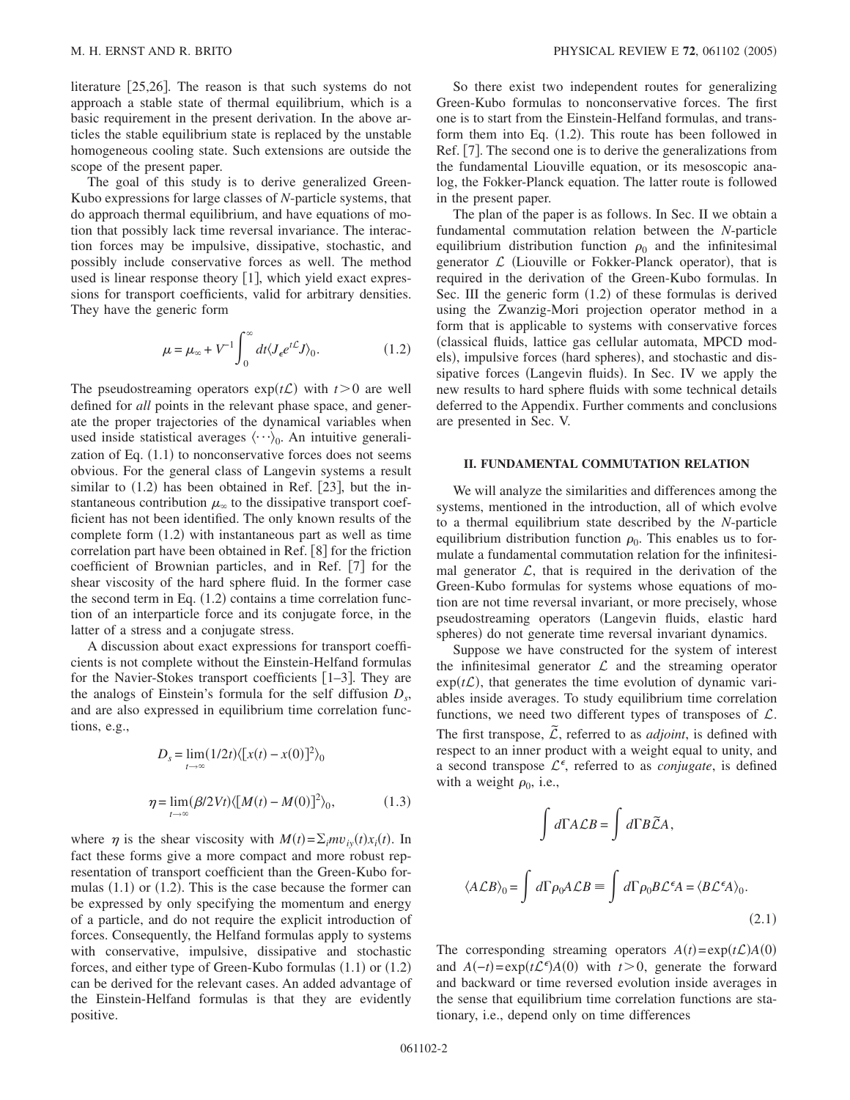literature  $|25,26|$ . The reason is that such systems do not approach a stable state of thermal equilibrium, which is a basic requirement in the present derivation. In the above articles the stable equilibrium state is replaced by the unstable homogeneous cooling state. Such extensions are outside the scope of the present paper.

The goal of this study is to derive generalized Green-Kubo expressions for large classes of *N*-particle systems, that do approach thermal equilibrium, and have equations of motion that possibly lack time reversal invariance. The interaction forces may be impulsive, dissipative, stochastic, and possibly include conservative forces as well. The method used is linear response theory  $[1]$ , which yield exact expressions for transport coefficients, valid for arbitrary densities. They have the generic form

$$
\mu = \mu_{\infty} + V^{-1} \int_0^{\infty} dt \langle J_{\epsilon} e^{t\mathcal{L}} J \rangle_0.
$$
 (1.2)

The pseudostreaming operators  $exp(t\mathcal{L})$  with  $t>0$  are well defined for *all* points in the relevant phase space, and generate the proper trajectories of the dynamical variables when used inside statistical averages  $\langle \cdots \rangle_0$ . An intuitive generalization of Eq.  $(1.1)$  to nonconservative forces does not seems obvious. For the general class of Langevin systems a result similar to  $(1.2)$  has been obtained in Ref. [23], but the instantaneous contribution  $\mu_{\infty}$  to the dissipative transport coefficient has not been identified. The only known results of the complete form  $(1.2)$  with instantaneous part as well as time correlation part have been obtained in Ref.  $[8]$  for the friction coefficient of Brownian particles, and in Ref.  $[7]$  for the shear viscosity of the hard sphere fluid. In the former case the second term in Eq.  $(1.2)$  contains a time correlation function of an interparticle force and its conjugate force, in the latter of a stress and a conjugate stress.

A discussion about exact expressions for transport coefficients is not complete without the Einstein-Helfand formulas for the Navier-Stokes transport coefficients  $[1-3]$ . They are the analogs of Einstein's formula for the self diffusion  $D_s$ , and are also expressed in equilibrium time correlation functions, e.g.,

$$
D_s = \lim_{t \to \infty} (1/2t) \langle [x(t) - x(0)]^2 \rangle_0
$$
  

$$
\eta = \lim_{t \to \infty} (\beta/2Vt) \langle [M(t) - M(0)]^2 \rangle_0,
$$
 (1.3)

where  $\eta$  is the shear viscosity with  $M(t) = \sum_i m v_{i y}(t) x_i(t)$ . In fact these forms give a more compact and more robust representation of transport coefficient than the Green-Kubo formulas  $(1.1)$  or  $(1.2)$ . This is the case because the former can be expressed by only specifying the momentum and energy of a particle, and do not require the explicit introduction of forces. Consequently, the Helfand formulas apply to systems with conservative, impulsive, dissipative and stochastic forces, and either type of Green-Kubo formulas  $(1.1)$  or  $(1.2)$ can be derived for the relevant cases. An added advantage of the Einstein-Helfand formulas is that they are evidently positive.

So there exist two independent routes for generalizing Green-Kubo formulas to nonconservative forces. The first one is to start from the Einstein-Helfand formulas, and transform them into Eq. (1.2). This route has been followed in Ref. [7]. The second one is to derive the generalizations from the fundamental Liouville equation, or its mesoscopic analog, the Fokker-Planck equation. The latter route is followed in the present paper.

The plan of the paper is as follows. In Sec. II we obtain a fundamental commutation relation between the *N*-particle equilibrium distribution function  $\rho_0$  and the infinitesimal generator  $\mathcal L$  (Liouville or Fokker-Planck operator), that is required in the derivation of the Green-Kubo formulas. In Sec. III the generic form  $(1.2)$  of these formulas is derived using the Zwanzig-Mori projection operator method in a form that is applicable to systems with conservative forces classical fluids, lattice gas cellular automata, MPCD models), impulsive forces (hard spheres), and stochastic and dissipative forces (Langevin fluids). In Sec. IV we apply the new results to hard sphere fluids with some technical details deferred to the Appendix. Further comments and conclusions are presented in Sec. V.

# **II. FUNDAMENTAL COMMUTATION RELATION**

We will analyze the similarities and differences among the systems, mentioned in the introduction, all of which evolve to a thermal equilibrium state described by the *N*-particle equilibrium distribution function  $\rho_0$ . This enables us to formulate a fundamental commutation relation for the infinitesimal generator  $\mathcal{L}$ , that is required in the derivation of the Green-Kubo formulas for systems whose equations of motion are not time reversal invariant, or more precisely, whose pseudostreaming operators Langevin fluids, elastic hard spheres) do not generate time reversal invariant dynamics.

Suppose we have constructed for the system of interest the infinitesimal generator  $\mathcal L$  and the streaming operator  $exp(t\mathcal{L})$ , that generates the time evolution of dynamic variables inside averages. To study equilibrium time correlation functions, we need two different types of transposes of  $\mathcal{L}$ . The first transpose,  $\tilde{\mathcal{L}}$ , referred to as *adjoint*, is defined with respect to an inner product with a weight equal to unity, and a second transpose  $\mathcal{L}^{\epsilon}$ , referred to as *conjugate*, is defined with a weight  $\rho_0$ , i.e.,

$$
\int d\Gamma A \mathcal{L} B = \int d\Gamma B \widetilde{\mathcal{L}} A,
$$
  

$$
\langle A \mathcal{L} B \rangle_0 = \int d\Gamma \rho_0 A \mathcal{L} B = \int d\Gamma \rho_0 B \mathcal{L}^{\epsilon} A = \langle B \mathcal{L}^{\epsilon} A \rangle_0.
$$
  
(2.1)

The corresponding streaming operators  $A(t) = \exp(tC)A(0)$ and  $A(-t) = \exp(t \mathcal{L}^{\epsilon}) A(0)$  with  $t > 0$ , generate the forward and backward or time reversed evolution inside averages in the sense that equilibrium time correlation functions are stationary, i.e., depend only on time differences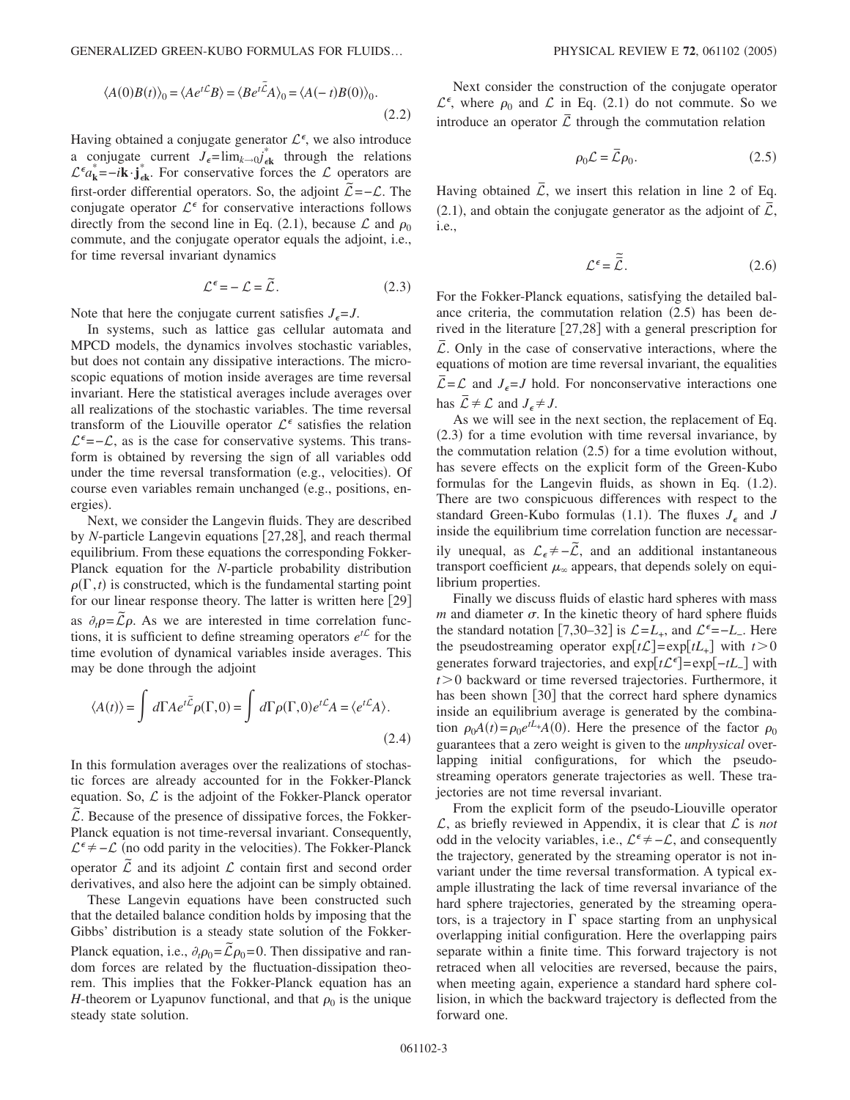$$
\langle A(0)B(t)\rangle_0 = \langle Ae^{t\mathcal{L}}B\rangle = \langle Be^{t\mathcal{L}}A\rangle_0 = \langle A(-t)B(0)\rangle_0.
$$
\n(2.2)

Having obtained a conjugate generator  $\mathcal{L}^{\epsilon}$ , we also introduce a conjugate current  $J_{\epsilon} = \lim_{k \to 0} j^*_{\epsilon k}$  through the relations  $\mathcal{L}^{\epsilon} a_{\mathbf{k}}^* = -i \mathbf{k} \cdot \mathbf{j}_{\epsilon \mathbf{k}}^*$ . For conservative forces the  $\mathcal{L}$  operators are first-order differential operators. So, the adjoint  $\mathcal{L} = -\mathcal{L}$ . The conjugate operator  $\mathcal{L}^{\epsilon}$  for conservative interactions follows directly from the second line in Eq. (2.1), because  $\mathcal{L}$  and  $\rho_0$ commute, and the conjugate operator equals the adjoint, i.e., for time reversal invariant dynamics

$$
\mathcal{L}^{\epsilon} = -\mathcal{L} = \tilde{\mathcal{L}}.
$$
 (2.3)

Note that here the conjugate current satisfies  $J_{\epsilon} = J$ .

In systems, such as lattice gas cellular automata and MPCD models, the dynamics involves stochastic variables, but does not contain any dissipative interactions. The microscopic equations of motion inside averages are time reversal invariant. Here the statistical averages include averages over all realizations of the stochastic variables. The time reversal transform of the Liouville operator  $\mathcal{L}^{\epsilon}$  satisfies the relation  $\mathcal{L}^{\epsilon}$  =− $\mathcal{L}$ , as is the case for conservative systems. This transform is obtained by reversing the sign of all variables odd under the time reversal transformation (e.g., velocities). Of course even variables remain unchanged (e.g., positions, energies).

Next, we consider the Langevin fluids. They are described by *N*-particle Langevin equations [27,28], and reach thermal equilibrium. From these equations the corresponding Fokker-Planck equation for the *N*-particle probability distribution  $\rho(\Gamma, t)$  is constructed, which is the fundamental starting point for our linear response theory. The latter is written here  $[29]$ as  $\partial_t \rho = \overline{\mathcal{L}} \rho$ . As we are interested in time correlation functions, it is sufficient to define streaming operators  $e^{t\mathcal{L}}$  for the time evolution of dynamical variables inside averages. This may be done through the adjoint

$$
\langle A(t) \rangle = \int d\Gamma A e^{t\tilde{\mathcal{L}}} \rho(\Gamma, 0) = \int d\Gamma \rho(\Gamma, 0) e^{t\mathcal{L}} A = \langle e^{t\mathcal{L}} A \rangle.
$$
\n(2.4)

In this formulation averages over the realizations of stochastic forces are already accounted for in the Fokker-Planck equation. So,  $\mathcal L$  is the adjoint of the Fokker-Planck operator L*˜*. Because of the presence of dissipative forces, the Fokker-Planck equation is not time-reversal invariant. Consequently,  $\mathcal{L}^{\epsilon} \neq -\mathcal{L}$  (no odd parity in the velocities). The Fokker-Planck operator  $\mathcal L$  and its adjoint  $\mathcal L$  contain first and second order derivatives, and also here the adjoint can be simply obtained.

These Langevin equations have been constructed such that the detailed balance condition holds by imposing that the Gibbs' distribution is a steady state solution of the Fokker-Planck equation, i.e.,  $\partial_t \rho_0 = \tilde{\mathcal{L}} \rho_0 = 0$ . Then dissipative and random forces are related by the fluctuation-dissipation theorem. This implies that the Fokker-Planck equation has an *H*-theorem or Lyapunov functional, and that  $\rho_0$  is the unique steady state solution.

Next consider the construction of the conjugate operator  $\mathcal{L}^{\epsilon}$ , where  $\rho_0$  and  $\mathcal{L}$  in Eq. (2.1) do not commute. So we introduce an operator  $\overline{L}$  through the commutation relation

$$
\rho_0 \mathcal{L} = \overline{\mathcal{L}} \rho_0. \tag{2.5}
$$

Having obtained  $\overline{L}$ , we insert this relation in line 2 of Eq.  $(2.1)$ , and obtain the conjugate generator as the adjoint of  $\overline{L}$ , i.e.,

$$
\mathcal{L}^{\epsilon} = \tilde{\vec{\mathcal{L}}}.
$$
 (2.6)

For the Fokker-Planck equations, satisfying the detailed balance criteria, the commutation relation  $(2.5)$  has been derived in the literature  $[27,28]$  with a general prescription for <sup>L</sup>*¯*. Only in the case of conservative interactions, where the equations of motion are time reversal invariant, the equalities  $\mathcal{L} = \mathcal{L}$  and  $J_{\epsilon} = J$  hold. For nonconservative interactions one has  $\overline{L} \neq \mathcal{L}$  and  $J_{\epsilon} \neq J$ .

As we will see in the next section, the replacement of Eq. (2.3) for a time evolution with time reversal invariance, by the commutation relation  $(2.5)$  for a time evolution without, has severe effects on the explicit form of the Green-Kubo formulas for the Langevin fluids, as shown in Eq. (1.2). There are two conspicuous differences with respect to the standard Green-Kubo formulas (1.1). The fluxes  $J_{\epsilon}$  and *J* inside the equilibrium time correlation function are necessarily unequal, as  $\mathcal{L}_\epsilon \neq -\bar{\mathcal{L}}$ , and an additional instantaneous transport coefficient  $\mu_{\infty}$  appears, that depends solely on equilibrium properties.

Finally we discuss fluids of elastic hard spheres with mass  $m$  and diameter  $\sigma$ . In the kinetic theory of hard sphere fluids the standard notation [7,30–32] is  $\mathcal{L} = L_+$ , and  $\mathcal{L}^{\epsilon} = -L_-$ . Here the pseudostreaming operator  $exp[t\mathcal{L}]=exp[tL_{+}]$  with  $t>0$ generates forward trajectories, and exp[t£<sup> $\epsilon$ </sup>]=exp[-tL<sub>−</sub>] with  $t > 0$  backward or time reversed trajectories. Furthermore, it has been shown [30] that the correct hard sphere dynamics inside an equilibrium average is generated by the combination  $\rho_0 A(t) = \rho_0 e^{tL} A(0)$ . Here the presence of the factor  $\rho_0$ guarantees that a zero weight is given to the *unphysical* overlapping initial configurations, for which the pseudostreaming operators generate trajectories as well. These trajectories are not time reversal invariant.

From the explicit form of the pseudo-Liouville operator  $\mathcal{L}$ , as briefly reviewed in Appendix, it is clear that  $\mathcal L$  is *not* odd in the velocity variables, i.e.,  $\mathcal{L}^{\epsilon} \neq -\mathcal{L}$ , and consequently the trajectory, generated by the streaming operator is not invariant under the time reversal transformation. A typical example illustrating the lack of time reversal invariance of the hard sphere trajectories, generated by the streaming operators, is a trajectory in  $\Gamma$  space starting from an unphysical overlapping initial configuration. Here the overlapping pairs separate within a finite time. This forward trajectory is not retraced when all velocities are reversed, because the pairs, when meeting again, experience a standard hard sphere collision, in which the backward trajectory is deflected from the forward one.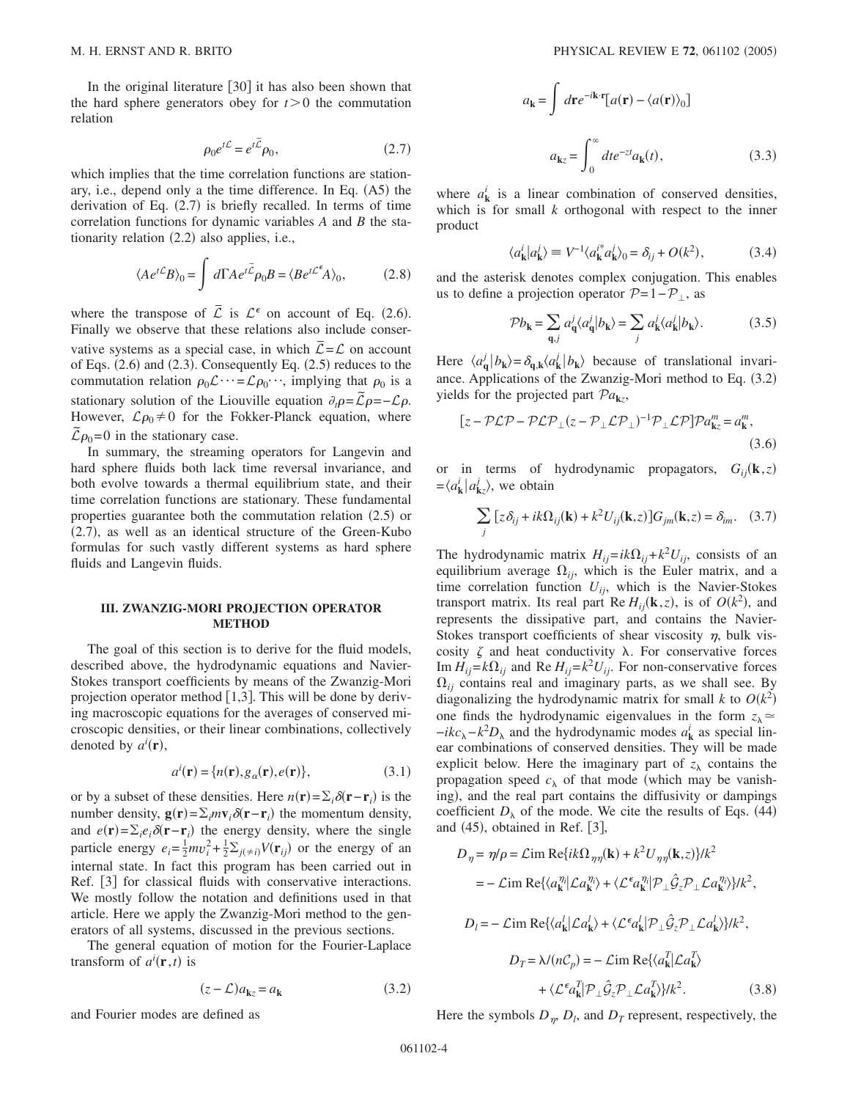In the original literature  $|30|$  it has also been shown that the hard sphere generators obey for  $t>0$  the commutation relation

$$
\rho_0 e^{t\mathcal{L}} = e^{t\bar{\mathcal{L}}}\rho_0,\tag{2.7}
$$

which implies that the time correlation functions are stationary, i.e., depend only a the time difference. In Eq. (A5) the derivation of Eq.  $(2.7)$  is briefly recalled. In terms of time correlation functions for dynamic variables *A* and *B* the stationarity relation (2.2) also applies, i.e.,

$$
\langle Ae^{t\mathcal{L}}B\rangle_0 = \int d\Gamma Ae^{t\bar{\mathcal{L}}}\rho_0 B = \langle Be^{t\mathcal{L}^{\epsilon}}A\rangle_0, \tag{2.8}
$$

where the transpose of  $\overline{L}$  is  $\mathcal{L}^{\epsilon}$  on account of Eq. (2.6). Finally we observe that these relations also include conservative systems as a special case, in which  $\overline{L} = L$  on account of Eqs.  $(2.6)$  and  $(2.3)$ . Consequently Eq.  $(2.5)$  reduces to the commutation relation  $\rho_0 \mathcal{L} \cdots = \mathcal{L} \rho_0 \cdots$ , implying that  $\rho_0$  is a stationary solution of the Liouville equation  $\partial_t p = \tilde{L} p = -L p$ . However,  $\mathcal{L}\rho_0 \neq 0$  for the Fokker-Planck equation, where  $\mathcal{L}\rho_0$ =0 in the stationary case.

In summary, the streaming operators for Langevin and hard sphere fluids both lack time reversal invariance, and both evolve towards a thermal equilibrium state, and their time correlation functions are stationary. These fundamental properties guarantee both the commutation relation (2.5) or (2.7), as well as an identical structure of the Green-Kubo formulas for such vastly different systems as hard sphere fluids and Langevin fluids.

## **III. ZWANZIG-MORI PROJECTION OPERATOR METHOD**

The goal of this section is to derive for the fluid models, described above, the hydrodynamic equations and Navier-Stokes transport coefficients by means of the Zwanzig-Mori projection operator method  $[1,3]$ . This will be done by deriving macroscopic equations for the averages of conserved microscopic densities, or their linear combinations, collectively denoted by  $a^i(\mathbf{r})$ ,

$$
a^{i}(\mathbf{r}) = \{n(\mathbf{r}), g_{\alpha}(\mathbf{r}), e(\mathbf{r})\},
$$
\n(3.1)

or by a subset of these densities. Here  $n(\mathbf{r}) = \sum_i \delta(\mathbf{r} - \mathbf{r}_i)$  is the number density,  $\mathbf{g}(\mathbf{r}) = \sum_i m \mathbf{v}_i \delta(\mathbf{r} - \mathbf{r}_i)$  the momentum density, and  $e(\mathbf{r}) = \sum_i e_i \delta(\mathbf{r} - \mathbf{r}_i)$  the energy density, where the single particle energy  $e_i = \frac{1}{2}mv_i^2 + \frac{1}{2}\sum_{j(\neq i)}V(\mathbf{r}_{ij})$  or the energy of an internal state. In fact this program has been carried out in Ref. [3] for classical fluids with conservative interactions. We mostly follow the notation and definitions used in that article. Here we apply the Zwanzig-Mori method to the generators of all systems, discussed in the previous sections.

The general equation of motion for the Fourier-Laplace transform of  $a^i(\mathbf{r}, t)$  is

$$
(z - \mathcal{L})a_{\mathbf{k}z} = a_{\mathbf{k}} \tag{3.2}
$$

$$
a_{\mathbf{k}} = \int d\mathbf{r} e^{-i\mathbf{k} \cdot \mathbf{r}} [a(\mathbf{r}) - \langle a(\mathbf{r}) \rangle_0]
$$

$$
a_{\mathbf{k}z} = \int_0^\infty dt e^{-zt} a_{\mathbf{k}}(t), \qquad (3.3)
$$

where  $a_k^i$  is a linear combination of conserved densities, which is for small *k* orthogonal with respect to the inner product

$$
\langle a_{\mathbf{k}}^i | a_{\mathbf{k}}^j \rangle \equiv V^{-1} \langle a_{\mathbf{k}}^{i*} a_{\mathbf{k}}^j \rangle_0 = \delta_{ij} + O(k^2), \tag{3.4}
$$

and the asterisk denotes complex conjugation. This enables us to define a projection operator  $\mathcal{P}=1-\mathcal{P}_\perp$ , as

$$
\mathcal{P}b_{\mathbf{k}} = \sum_{\mathbf{q},j} a_{\mathbf{q}}^j \langle a_{\mathbf{q}}^j | b_{\mathbf{k}} \rangle = \sum_{j} a_{\mathbf{k}}^j \langle a_{\mathbf{k}}^j | b_{\mathbf{k}} \rangle.
$$
 (3.5)

Here  $\langle a_{\mathbf{q}}^j | b_{\mathbf{k}} \rangle = \delta_{\mathbf{q},\mathbf{k}} \langle a_{\mathbf{k}}^j | b_{\mathbf{k}} \rangle$  because of translational invariance. Applications of the Zwanzig-Mori method to Eq. (3.2) yields for the projected part  $Pa_{kz}$ ,

$$
[z - P\mathcal{L}P - P\mathcal{L}P_{\perp}(z - P_{\perp}\mathcal{L}P_{\perp})^{-1}P_{\perp}\mathcal{L}P]Pa_{\mathbf{k}z}^{m} = a_{\mathbf{k}}^{m},
$$
\n(3.6)

or in terms of hydrodynamic propagators,  $G_{ij}(\mathbf{k},z)$  $=\langle a_{\mathbf{k}}^i | a_{\mathbf{k}z}^j \rangle$ , we obtain

$$
\sum_{j} \left[ z \delta_{ij} + ik\Omega_{ij}(\mathbf{k}) + k^2 U_{ij}(\mathbf{k}, z) \right] G_{jm}(\mathbf{k}, z) = \delta_{im}. \quad (3.7)
$$

The hydrodynamic matrix  $H_{ij} = ik\Omega_{ij} + k^2 U_{ij}$ , consists of an equilibrium average  $\Omega_{ij}$ , which is the Euler matrix, and a time correlation function  $U_{ij}$ , which is the Navier-Stokes transport matrix. Its real part Re  $H_{ij}(\mathbf{k}, z)$ , is of  $O(k^2)$ , and represents the dissipative part, and contains the Navier-Stokes transport coefficients of shear viscosity  $\eta$ , bulk viscosity  $\zeta$  and heat conductivity  $\lambda$ . For conservative forces Im  $H_{ij} = k\Omega_{ij}$  and Re  $H_{ij} = k^2 U_{ij}$ . For non-conservative forces  $\Omega_{ij}$  contains real and imaginary parts, as we shall see. By diagonalizing the hydrodynamic matrix for small *k* to  $O(k^2)$ one finds the hydrodynamic eigenvalues in the form  $z_{\lambda} \approx$  $-ikc_{\lambda} - k^2D_{\lambda}$  and the hydrodynamic modes  $a^i_{\mathbf{k}}$  as special linear combinations of conserved densities. They will be made explicit below. Here the imaginary part of  $z<sub>\lambda</sub>$  contains the propagation speed  $c_{\lambda}$  of that mode (which may be vanishing), and the real part contains the diffusivity or dampings coefficient  $D_{\lambda}$  of the mode. We cite the results of Eqs. (44) and  $(45)$ , obtained in Ref.  $[3]$ ,

$$
D_{\eta} = \eta/\rho = \mathcal{L} \text{im Re}\{ik\Omega_{\eta\eta}(\mathbf{k}) + k^2 U_{\eta\eta}(\mathbf{k}, z)\}/k^2
$$
  
\n
$$
= -\mathcal{L} \text{im Re}\{\langle a_{\mathbf{k}}^{\eta_i} | \mathcal{L}a_{\mathbf{k}}^{\eta_i} \rangle + \langle \mathcal{L}^{\epsilon}a_{\mathbf{k}}^{\eta_i} | \mathcal{P}_{\perp} \hat{\mathcal{G}}_{z} \mathcal{P}_{\perp} \mathcal{L}a_{\mathbf{k}}^{\eta_i} \rangle \}/k^2,
$$
  
\n
$$
D_{l} = -\mathcal{L} \text{im Re}\{\langle a_{\mathbf{k}}^{l} | \mathcal{L}a_{\mathbf{k}}^{l} \rangle + \langle \mathcal{L}^{\epsilon}a_{\mathbf{k}}^{l} | \mathcal{P}_{\perp} \hat{\mathcal{G}}_{z} \mathcal{P}_{\perp} \mathcal{L}a_{\mathbf{k}}^{l} \rangle \}/k^2,
$$
  
\n
$$
D_{T} = \lambda/(nC_{p}) = -\mathcal{L} \text{im Re}\{\langle a_{\mathbf{k}}^{T} | \mathcal{L}a_{\mathbf{k}}^{T} \rangle
$$
  
\n
$$
+ \langle \mathcal{L}^{\epsilon}a_{\mathbf{k}}^{T} | \mathcal{P}_{\perp} \hat{\mathcal{G}}_{z} \mathcal{P}_{\perp} \mathcal{L}a_{\mathbf{k}}^{T} \rangle \}/k^2.
$$
 (3.8)

Here the symbols  $D_{\eta}$ ,  $D_l$ , and  $D_T$  represent, respectively, the

and Fourier modes are defined as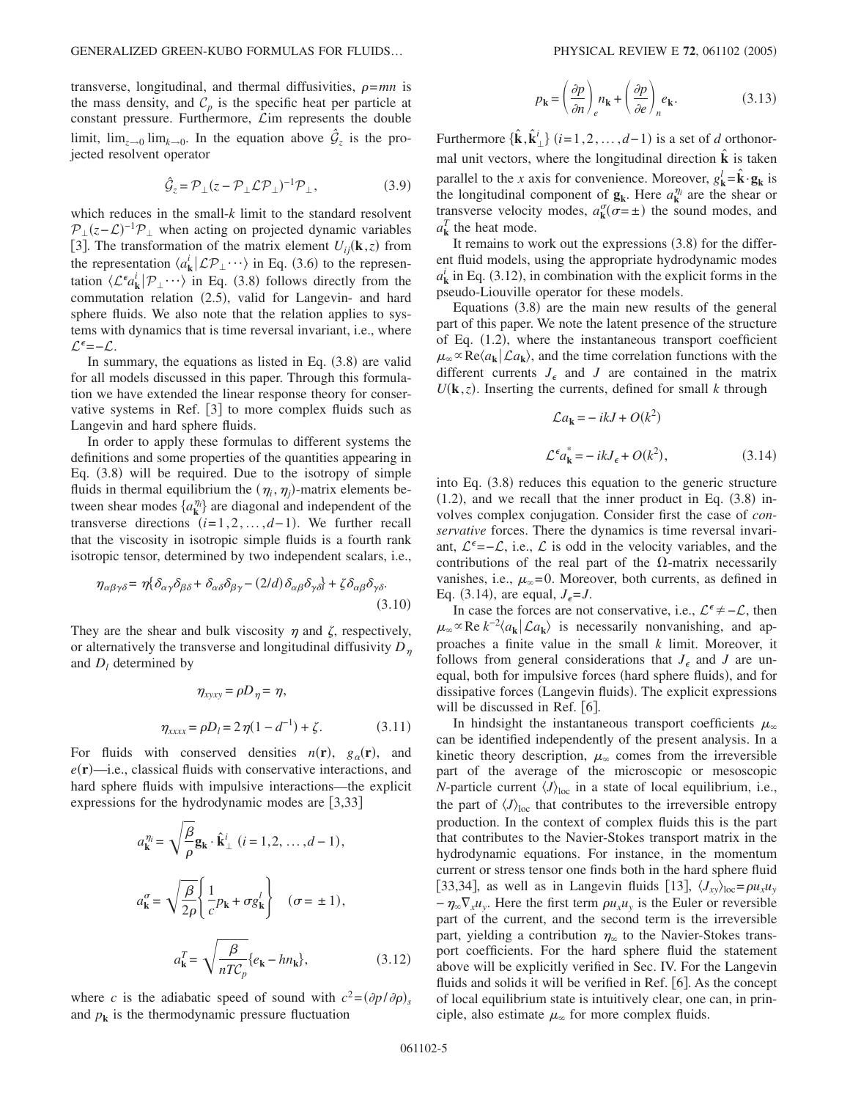transverse, longitudinal, and thermal diffusivities,  $\rho = mn$  is the mass density, and  $C_p$  is the specific heat per particle at constant pressure. Furthermore,  $\mathcal{L}$ im represents the double limit,  $\lim_{z\to 0} \lim_{k\to 0}$ . In the equation above  $\hat{\mathcal{G}}_z$  is the projected resolvent operator

$$
\hat{\mathcal{G}}_z = \mathcal{P}_\perp (z - \mathcal{P}_\perp \mathcal{L} \mathcal{P}_\perp)^{-1} \mathcal{P}_\perp, \tag{3.9}
$$

which reduces in the small-*k* limit to the standard resolvent  $\mathcal{P}_\perp(z-\mathcal{L})^{-1}\mathcal{P}_\perp$  when acting on projected dynamic variables [3]. The transformation of the matrix element  $U_{ij}(\mathbf{k}, z)$  from the representation  $\langle a_{\mathbf{k}}^i | \mathcal{LP}_\perp \cdots \rangle$  in Eq. (3.6) to the representation  $\langle \mathcal{L}^{\epsilon} a_{\mathbf{k}}^i | \mathcal{P}_\perp \cdots \rangle$  in Eq. (3.8) follows directly from the commutation relation (2.5), valid for Langevin- and hard sphere fluids. We also note that the relation applies to systems with dynamics that is time reversal invariant, i.e., where  $\mathcal{L}^{\epsilon}$ =- $\mathcal{L}$ .

In summary, the equations as listed in Eq.  $(3.8)$  are valid for all models discussed in this paper. Through this formulation we have extended the linear response theory for conservative systems in Ref.  $[3]$  to more complex fluids such as Langevin and hard sphere fluids.

In order to apply these formulas to different systems the definitions and some properties of the quantities appearing in Eq. (3.8) will be required. Due to the isotropy of simple fluids in thermal equilibrium the  $(\eta_i, \eta_j)$ -matrix elements between shear modes  $\{a_k^{\eta_i}\}\$  are diagonal and independent of the transverse directions  $(i=1,2,\ldots,d-1)$ . We further recall that the viscosity in isotropic simple fluids is a fourth rank isotropic tensor, determined by two independent scalars, i.e.,

$$
\eta_{\alpha\beta\gamma\delta} = \eta \{\delta_{\alpha\gamma}\delta_{\beta\delta} + \delta_{\alpha\delta}\delta_{\beta\gamma} - (2/d)\delta_{\alpha\beta}\delta_{\gamma\delta} + \zeta \delta_{\alpha\beta}\delta_{\gamma\delta}.
$$
\n(3.10)

They are the shear and bulk viscosity  $\eta$  and  $\zeta$ , respectively, or alternatively the transverse and longitudinal diffusivity  $D_n$ and  $D_l$  determined by

$$
\eta_{xyxy} = \rho D_{\eta} = \eta,
$$
  

$$
\eta_{xxxx} = \rho D_l = 2 \eta (1 - d^{-1}) + \zeta.
$$
 (3.11)

For fluids with conserved densities  $n(\mathbf{r})$ ,  $g_\alpha(\mathbf{r})$ , and  $e(\mathbf{r})$ —i.e., classical fluids with conservative interactions, and hard sphere fluids with impulsive interactions—the explicit expressions for the hydrodynamic modes are  $[3,33]$ 

$$
a_{\mathbf{k}}^{\eta_i} = \sqrt{\frac{\beta}{\rho}} \mathbf{g}_{\mathbf{k}} \cdot \hat{\mathbf{k}}_{\perp}^i \ (i = 1, 2, \dots, d - 1),
$$

$$
a_{\mathbf{k}}^{\sigma} = \sqrt{\frac{\beta}{2\rho}} \left\{ \frac{1}{c} p_{\mathbf{k}} + \sigma g_{\mathbf{k}}^i \right\} \quad (\sigma = \pm 1),
$$

$$
a_{\mathbf{k}}^T = \sqrt{\frac{\beta}{nT C_p}} \{e_{\mathbf{k}} - h n_{\mathbf{k}}\},
$$
(3.12)

where *c* is the adiabatic speed of sound with  $c^2 = (\partial p / \partial \rho)_s$ and  $p_k$  is the thermodynamic pressure fluctuation

$$
p_{\mathbf{k}} = \left(\frac{\partial p}{\partial n}\right)_e n_{\mathbf{k}} + \left(\frac{\partial p}{\partial e}\right)_n e_{\mathbf{k}}.\tag{3.13}
$$

Furthermore  $\{\hat{\mathbf{k}}, \hat{\mathbf{k}}_{\perp}^i\}$   $(i=1,2,\ldots,d-1)$  is a set of *d* orthonormal unit vectors, where the longitudinal direction  $\hat{\mathbf{k}}$  is taken parallel to the *x* axis for convenience. Moreover,  $g_{\mathbf{k}}^l = \hat{\mathbf{k}} \cdot \mathbf{g}_{\mathbf{k}}$  is the longitudinal component of  $\mathbf{g}_k$ . Here  $a_k^{\eta_i}$  are the shear or transverse velocity modes,  $a_k^{\sigma}(\sigma = \pm)$  the sound modes, and  $a_k^T$  the heat mode.

It remains to work out the expressions  $(3.8)$  for the different fluid models, using the appropriate hydrodynamic modes  $a_k^i$  in Eq. (3.12), in combination with the explicit forms in the pseudo-Liouville operator for these models.

Equations  $(3.8)$  are the main new results of the general part of this paper. We note the latent presence of the structure of Eq. (1.2), where the instantaneous transport coefficient  $\mu_{\infty} \propto \text{Re}\langle a_{\mathbf{k}} | \mathcal{L} a_{\mathbf{k}} \rangle$ , and the time correlation functions with the different currents  $J_{\epsilon}$  and *J* are contained in the matrix  $U(\mathbf{k}, z)$ . Inserting the currents, defined for small *k* through

$$
\mathcal{L}a_{\mathbf{k}} = -ikJ + O(k^2)
$$
  

$$
\mathcal{L}^{\epsilon}a_{\mathbf{k}}^{*} = -ikJ_{\epsilon} + O(k^2),
$$
 (3.14)

into Eq. (3.8) reduces this equation to the generic structure  $(1.2)$ , and we recall that the inner product in Eq.  $(3.8)$  involves complex conjugation. Consider first the case of *conservative* forces. There the dynamics is time reversal invariant,  $\mathcal{L}^{\epsilon} = -\mathcal{L}$ , i.e.,  $\mathcal{L}$  is odd in the velocity variables, and the contributions of the real part of the  $\Omega$ -matrix necessarily vanishes, i.e.,  $\mu_{\infty}$ =0. Moreover, both currents, as defined in Eq. (3.14), are equal,  $J_{\epsilon} = J$ .

In case the forces are not conservative, i.e.,  $\mathcal{L}^{\epsilon} \neq -\mathcal{L}$ , then  $\mu_{\infty} \propto \text{Re } k^{-2} \langle a_{\mathbf{k}} | \mathcal{L} a_{\mathbf{k}} \rangle$  is necessarily nonvanishing, and approaches a finite value in the small *k* limit. Moreover, it follows from general considerations that  $J_{\epsilon}$  and  $J$  are unequal, both for impulsive forces (hard sphere fluids), and for dissipative forces (Langevin fluids). The explicit expressions will be discussed in Ref.  $[6]$ .

In hindsight the instantaneous transport coefficients  $\mu_{\infty}$ can be identified independently of the present analysis. In a kinetic theory description,  $\mu_{\infty}$  comes from the irreversible part of the average of the microscopic or mesoscopic *N*-particle current  $\langle J \rangle_{\text{loc}}$  in a state of local equilibrium, i.e., the part of  $\langle J \rangle_{\text{loc}}$  that contributes to the irreversible entropy production. In the context of complex fluids this is the part that contributes to the Navier-Stokes transport matrix in the hydrodynamic equations. For instance, in the momentum current or stress tensor one finds both in the hard sphere fluid [33,34], as well as in Langevin fluids [13],  $\langle J_{xy}\rangle_{loc} = \rho u_x u_y$  $-\eta_{\infty}\nabla_{x}u_{y}$ . Here the first term  $\rho u_{x}u_{y}$  is the Euler or reversible part of the current, and the second term is the irreversible part, yielding a contribution  $\eta_{\infty}$  to the Navier-Stokes transport coefficients. For the hard sphere fluid the statement above will be explicitly verified in Sec. IV. For the Langevin fluids and solids it will be verified in Ref.  $[6]$ . As the concept of local equilibrium state is intuitively clear, one can, in principle, also estimate  $\mu_{\infty}$  for more complex fluids.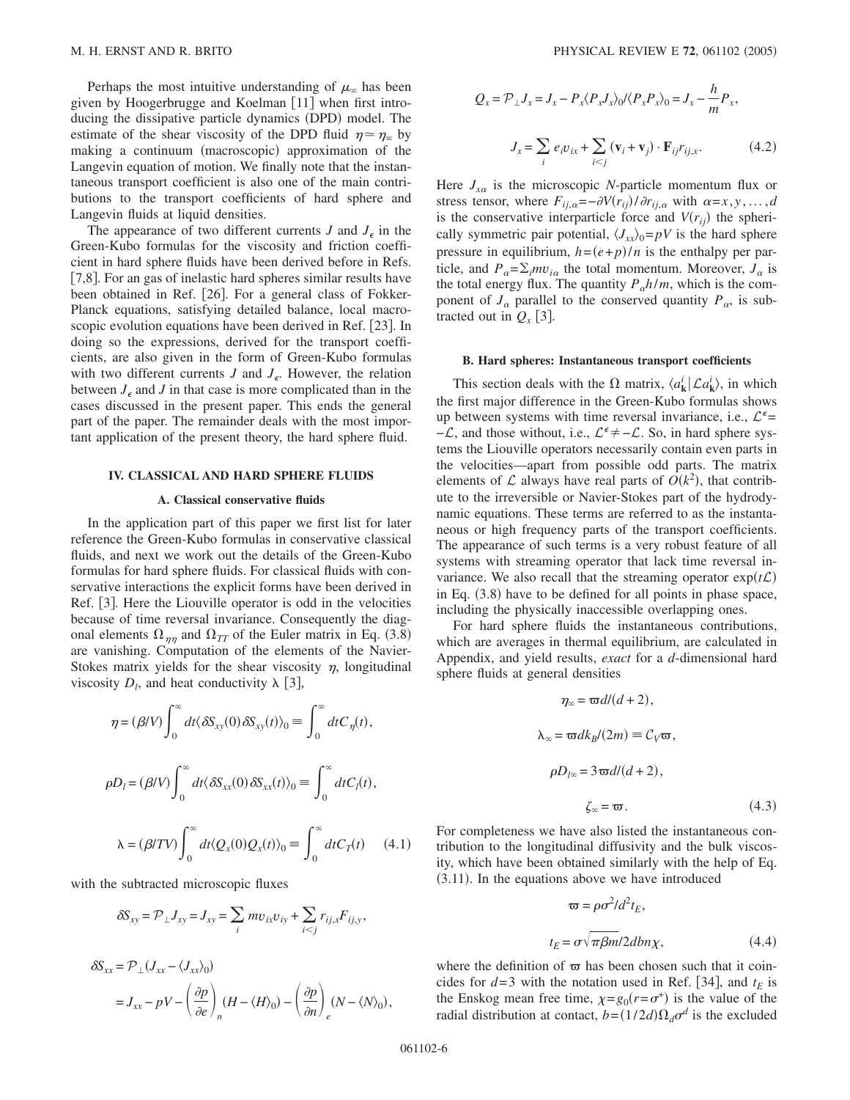Perhaps the most intuitive understanding of  $\mu_{\infty}$  has been given by Hoogerbrugge and Koelman [11] when first introducing the dissipative particle dynamics (DPD) model. The estimate of the shear viscosity of the DPD fluid  $\eta \approx \eta_{\infty}$  by making a continuum (macroscopic) approximation of the Langevin equation of motion. We finally note that the instantaneous transport coefficient is also one of the main contributions to the transport coefficients of hard sphere and Langevin fluids at liquid densities.

The appearance of two different currents  $J$  and  $J_{\epsilon}$  in the Green-Kubo formulas for the viscosity and friction coefficient in hard sphere fluids have been derived before in Refs. [7,8]. For an gas of inelastic hard spheres similar results have been obtained in Ref. [26]. For a general class of Fokker-Planck equations, satisfying detailed balance, local macroscopic evolution equations have been derived in Ref. [23]. In doing so the expressions, derived for the transport coefficients, are also given in the form of Green-Kubo formulas with two different currents *J* and  $J_{\epsilon}$ . However, the relation between  $J_{\epsilon}$  and *J* in that case is more complicated than in the cases discussed in the present paper. This ends the general part of the paper. The remainder deals with the most important application of the present theory, the hard sphere fluid.

### **IV. CLASSICAL AND HARD SPHERE FLUIDS**

## **A. Classical conservative fluids**

In the application part of this paper we first list for later reference the Green-Kubo formulas in conservative classical fluids, and next we work out the details of the Green-Kubo formulas for hard sphere fluids. For classical fluids with conservative interactions the explicit forms have been derived in Ref. [3]. Here the Liouville operator is odd in the velocities because of time reversal invariance. Consequently the diagonal elements  $\Omega_{\eta\eta}$  and  $\Omega_{TT}$  of the Euler matrix in Eq. (3.8) are vanishing. Computation of the elements of the Navier-Stokes matrix yields for the shear viscosity  $\eta$ , longitudinal viscosity  $D_l$ , and heat conductivity  $\lambda$  [3],

$$
\eta = (\beta/V) \int_0^\infty dt \langle \delta S_{xy}(0) \delta S_{xy}(t) \rangle_0 \equiv \int_0^\infty dt C_\eta(t),
$$
  

$$
\rho D_l = (\beta/V) \int_0^\infty dt \langle \delta S_{xx}(0) \delta S_{xx}(t) \rangle_0 \equiv \int_0^\infty dt C_l(t),
$$
  

$$
\lambda = (\beta/TV) \int_0^\infty dt \langle Q_x(0) Q_x(t) \rangle_0 \equiv \int_0^\infty dt C_T(t) \quad (4.1)
$$

with the subtracted microscopic fluxes

$$
\delta S_{xy} = \mathcal{P}_{\perp} J_{xy} = J_{xy} = \sum_i m v_{ix} v_{iy} + \sum_{i < j} r_{ij,x} F_{ij,y},
$$

$$
\delta S_{xx} = \mathcal{P}_{\perp} (J_{xx} - \langle J_{xx} \rangle_0)
$$
  
=  $J_{xx} - pV - \left(\frac{\partial p}{\partial e}\right)_n (H - \langle H \rangle_0) - \left(\frac{\partial p}{\partial n}\right)_e (N - \langle N \rangle_0),$ 

$$
Q_x = \mathcal{P}_\perp J_x = J_x - P_x \langle P_x J_x \rangle_0 / \langle P_x P_x \rangle_0 = J_x - \frac{h}{m} P_x,
$$
  

$$
J_x = \sum_i e_i v_{ix} + \sum_{i < j} (\mathbf{v}_i + \mathbf{v}_j) \cdot \mathbf{F}_{ij} r_{ij,x}.
$$
 (4.2)

Here  $J_{x\alpha}$  is the microscopic *N*-particle momentum flux or stress tensor, where  $F_{ij,a} = -\partial V(r_{ij}) / \partial r_{ij,a}$  with  $\alpha = x, y, ..., d$ is the conservative interparticle force and  $V(r_{ij})$  the spherically symmetric pair potential,  $\langle J_{xx}\rangle_0 = pV$  is the hard sphere pressure in equilibrium,  $h = (e+p)/n$  is the enthalpy per particle, and  $P_{\alpha} = \sum_i m v_{i\alpha}$  the total momentum. Moreover,  $J_{\alpha}$  is the total energy flux. The quantity  $P_0 h/m$ , which is the component of  $J_{\alpha}$  parallel to the conserved quantity  $P_{\alpha}$ , is subtracted out in  $Q_{x}$  [3].

#### **B. Hard spheres: Instantaneous transport coefficients**

This section deals with the  $\Omega$  matrix,  $\langle a_k^i | \mathcal{L} a_k^i \rangle$ , in which the first major difference in the Green-Kubo formulas shows up between systems with time reversal invariance, i.e.,  $\mathcal{L}^{\epsilon}$ =  $-\mathcal{L}$ , and those without, i.e.,  $\mathcal{L}^{\epsilon} \neq -\mathcal{L}$ . So, in hard sphere systems the Liouville operators necessarily contain even parts in the velocities—apart from possible odd parts. The matrix elements of  $\mathcal L$  always have real parts of  $O(k^2)$ , that contribute to the irreversible or Navier-Stokes part of the hydrodynamic equations. These terms are referred to as the instantaneous or high frequency parts of the transport coefficients. The appearance of such terms is a very robust feature of all systems with streaming operator that lack time reversal invariance. We also recall that the streaming operator  $exp(t\mathcal{L})$ in Eq. (3.8) have to be defined for all points in phase space, including the physically inaccessible overlapping ones.

For hard sphere fluids the instantaneous contributions, which are averages in thermal equilibrium, are calculated in Appendix, and yield results, *exact* for a *d*-dimensional hard sphere fluids at general densities

$$
\eta_{\infty} = \varpi dl (d+2),
$$
  
\n
$$
\lambda_{\infty} = \varpi dk_B/(2m) \equiv C_V \varpi,
$$
  
\n
$$
\rho D_{l\infty} = 3 \varpi dl (d+2),
$$
  
\n
$$
\zeta_{\infty} = \varpi.
$$
\n(4.3)

For completeness we have also listed the instantaneous contribution to the longitudinal diffusivity and the bulk viscosity, which have been obtained similarly with the help of Eq.  $(3.11)$ . In the equations above we have introduced

$$
\varpi = \rho \sigma^2 / d^2 t_E,
$$
  
\n
$$
t_E = \sigma \sqrt{\pi \beta m} / 2db n \chi,
$$
\n(4.4)

where the definition of  $\varpi$  has been chosen such that it coincides for  $d=3$  with the notation used in Ref. [34], and  $t_E$  is the Enskog mean free time,  $\chi = g_0(r = \sigma^+)$  is the value of the radial distribution at contact,  $b = (1/2d)\Omega_d \sigma^d$  is the excluded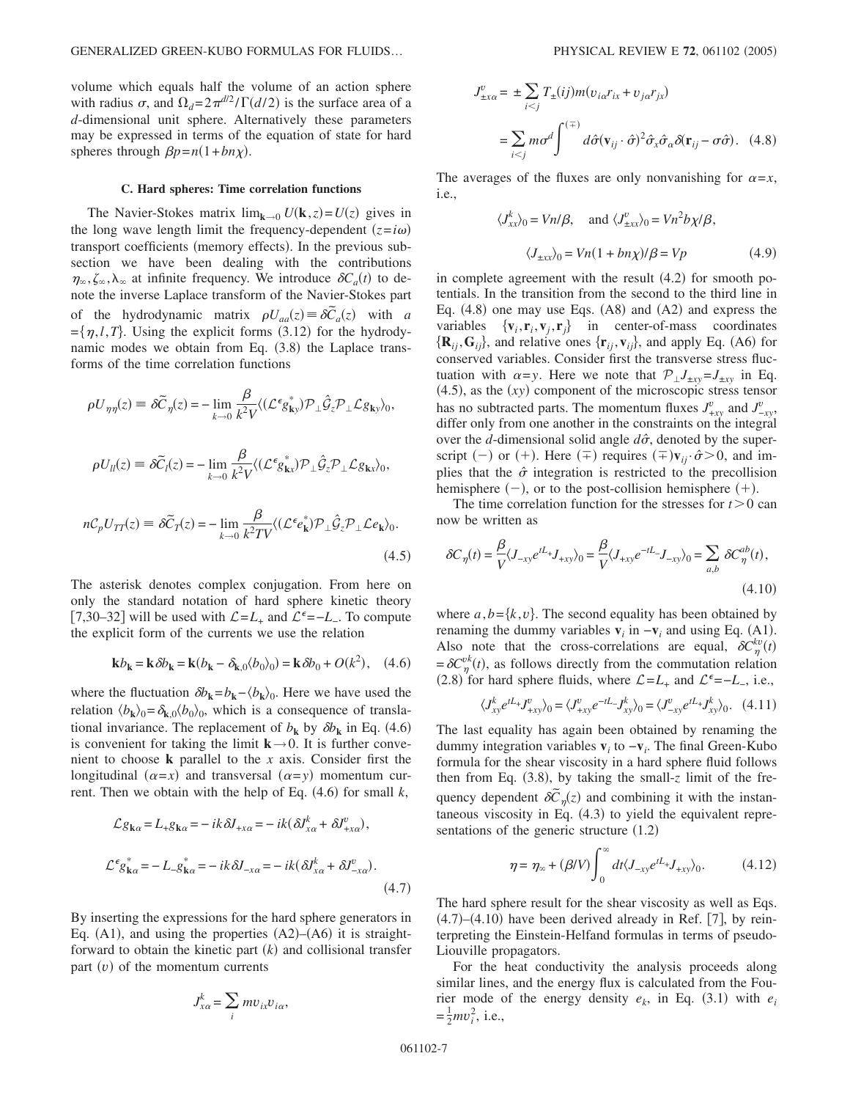volume which equals half the volume of an action sphere with radius  $\sigma$ , and  $\Omega_d = 2\pi^{d/2} / \Gamma(d/2)$  is the surface area of a *d*-dimensional unit sphere. Alternatively these parameters may be expressed in terms of the equation of state for hard spheres through  $\beta p = n(1 + bn\chi)$ .

## **C. Hard spheres: Time correlation functions**

The Navier-Stokes matrix  $\lim_{k\to 0} U(k, z) = U(z)$  gives in the long wave length limit the frequency-dependent  $(z=i\omega)$ transport coefficients (memory effects). In the previous subsection we have been dealing with the contributions  $\eta_{\infty}, \zeta_{\infty}, \lambda_{\infty}$  at infinite frequency. We introduce  $\delta C_a(t)$  to denote the inverse Laplace transform of the Navier-Stokes part of the hydrodynamic matrix  $\rho U_{aa}(z) = \delta \tilde{C}_a(z)$  with *a*  $=\{\eta, l, T\}$ . Using the explicit forms (3.12) for the hydrodynamic modes we obtain from Eq. (3.8) the Laplace transforms of the time correlation functions

$$
\rho U_{\eta\eta}(z) \equiv \delta \tilde{C}_{\eta}(z) = -\lim_{k \to 0} \frac{\beta}{k^2 V} \langle (\mathcal{L}^{\epsilon} g_{\mathbf{k}y}^*) \mathcal{P}_{\perp} \hat{\mathcal{G}}_{z} \mathcal{P}_{\perp} \mathcal{L} g_{\mathbf{k}y} \rangle_{0},
$$

$$
\rho U_{ll}(z) \equiv \delta \tilde{C}_{l}(z) = -\lim_{k \to 0} \frac{\beta}{k^2 V} \langle (\mathcal{L}^{\epsilon} g_{\mathbf{k}x}^*) \mathcal{P}_{\perp} \hat{\mathcal{G}}_{z} \mathcal{P}_{\perp} \mathcal{L} g_{\mathbf{k}x} \rangle_{0},
$$

$$
nC_{p} U_{TT}(z) \equiv \delta \tilde{C}_{T}(z) = -\lim_{k \to 0} \frac{\beta}{k^2 T V} \langle (\mathcal{L}^{\epsilon} e_{\mathbf{k}}^*) \mathcal{P}_{\perp} \hat{\mathcal{G}}_{z} \mathcal{P}_{\perp} \mathcal{L} e_{\mathbf{k}} \rangle_{0}.
$$
(4.5)

The asterisk denotes complex conjugation. From here on only the standard notation of hard sphere kinetic theory [7,30–32] will be used with  $\mathcal{L} = L_+$  and  $\mathcal{L}^{\epsilon} = -L_-$ . To compute the explicit form of the currents we use the relation

$$
\mathbf{k}b_{\mathbf{k}} = \mathbf{k}\,\delta b_{\mathbf{k}} = \mathbf{k}(b_{\mathbf{k}} - \delta_{\mathbf{k},0}(b_0)_0) = \mathbf{k}\,\delta b_0 + O(k^2),\quad(4.6)
$$

where the fluctuation  $\delta b_{\mathbf{k}} = b_{\mathbf{k}} - \langle b_{\mathbf{k}} \rangle_0$ . Here we have used the relation  $\langle b_{\mathbf{k}} \rangle_0 = \delta_{\mathbf{k},0} \langle b_0 \rangle_0$ , which is a consequence of translational invariance. The replacement of  $b_k$  by  $\delta b_k$  in Eq. (4.6) is convenient for taking the limit  $k \rightarrow 0$ . It is further convenient to choose **k** parallel to the *x* axis. Consider first the longitudinal  $(\alpha = x)$  and transversal  $(\alpha = y)$  momentum current. Then we obtain with the help of Eq.  $(4.6)$  for small  $k$ ,

$$
\mathcal{L}g_{\mathbf{k}\alpha} = L_{+}g_{\mathbf{k}\alpha} = -ik\delta J_{+x\alpha} = -ik(\delta J_{x\alpha}^{k} + \delta J_{+x\alpha}^{v}),
$$
  

$$
\mathcal{L}^{\epsilon}g_{\mathbf{k}\alpha}^{*} = -L_{-}g_{\mathbf{k}\alpha}^{*} = -ik\delta J_{-x\alpha} = -ik(\delta J_{x\alpha}^{k} + \delta J_{-x\alpha}^{v}).
$$
  
(4.7)

By inserting the expressions for the hard sphere generators in Eq.  $(A1)$ , and using the properties  $(A2)$ – $(A6)$  it is straightforward to obtain the kinetic part  $(k)$  and collisional transfer part  $(v)$  of the momentum currents

$$
J_{x\alpha}^k = \sum_i m v_{ix} v_{i\alpha},
$$

$$
J_{\pm x\alpha}^v = \pm \sum_{i < j} T_{\pm}(ij)m(v_{i\alpha}r_{ix} + v_{j\alpha}r_{jx})
$$
\n
$$
= \sum_{i < j} m\sigma^d \int^{(\mp)} d\hat{\sigma}(\mathbf{v}_{ij} \cdot \hat{\sigma})^2 \hat{\sigma}_x \hat{\sigma}_\alpha \delta(\mathbf{r}_{ij} - \sigma \hat{\sigma}). \tag{4.8}
$$

The averages of the fluxes are only nonvanishing for  $\alpha = x$ , i.e.,

$$
\langle J_{xx}^k \rangle_0 = Vn/\beta
$$
, and  $\langle J_{\pm xx}^v \rangle_0 = Vn^2 b \chi/\beta$ ,  
 $\langle J_{\pm xx} \rangle_0 = Vn(1 + b n \chi)/\beta = Vp$  (4.9)

in complete agreement with the result  $(4.2)$  for smooth potentials. In the transition from the second to the third line in Eq.  $(4.8)$  one may use Eqs.  $(AB)$  and  $(A2)$  and express the variables  $\{v_i, r_i, v_j, r_j\}$  in center-of-mass coordinates  $\{R_{ij}, G_{ij}\}$ , and relative ones  $\{r_{ij}, v_{ij}\}$ , and apply Eq. (A6) for conserved variables. Consider first the transverse stress fluctuation with  $\alpha = y$ . Here we note that  $\mathcal{P}_\perp J_{\pm xy} = J_{\pm xy}$  in Eq.  $(4.5)$ , as the  $(xy)$  component of the microscopic stress tensor has no subtracted parts. The momentum fluxes  $J_{+xy}^v$  and  $J_{-xy}^v$ , differ only from one another in the constraints on the integral over the *d*-dimensional solid angle  $d\hat{\sigma}$ , denoted by the superscript (-) or (+). Here ( $\mp$ ) requires ( $\mp$ )**v**<sub>*ij*</sub> ·  $\hat{\sigma}$  > 0, and implies that the  $\hat{\sigma}$  integration is restricted to the precollision hemisphere  $(-)$ , or to the post-collision hemisphere  $(+)$ .

The time correlation function for the stresses for  $t > 0$  can now be written as

$$
\delta C_{\eta}(t) = \frac{\beta}{V} \langle J_{-xy} e^{tL_x} J_{+xy} \rangle_0 = \frac{\beta}{V} \langle J_{+xy} e^{-tL_x} J_{-xy} \rangle_0 = \sum_{a,b} \delta C_{\eta}^{ab}(t),
$$
\n(4.10)

where  $a, b = \{k, v\}$ . The second equality has been obtained by renaming the dummy variables  $\mathbf{v}_i$  in  $-\mathbf{v}_i$  and using Eq. (A1). Also note that the cross-correlations are equal,  $\delta C_{\eta}^{kv}(t)$  $=\delta C_{\eta}^{vk}(t)$ , as follows directly from the commutation relation (2.8) for hard sphere fluids, where  $\mathcal{L} = L_+$  and  $\mathcal{L}^{\epsilon} = -L_-$ , i.e.,

$$
\langle J_{xy}^k e^{tL_x} J_{+xy}^v \rangle_0 = \langle J_{+xy}^v e^{-tL_x} J_{xy}^k \rangle_0 = \langle J_{-xy}^v e^{tL_x} J_{xy}^k \rangle_0. \quad (4.11)
$$

The last equality has again been obtained by renaming the dummy integration variables  $\mathbf{v}_i$  to  $-\mathbf{v}_i$ . The final Green-Kubo formula for the shear viscosity in a hard sphere fluid follows then from Eq.  $(3.8)$ , by taking the small-*z* limit of the frequency dependent  $\delta \tilde{C}_{\eta}(z)$  and combining it with the instantaneous viscosity in Eq. (4.3) to yield the equivalent representations of the generic structure  $(1.2)$ 

$$
\eta = \eta_{\infty} + (\beta/V) \int_0^{\infty} dt \langle J_{-xy} e^{tL_x} J_{+xy} \rangle_0.
$$
 (4.12)

The hard sphere result for the shear viscosity as well as Eqs.  $(4.7)$ – $(4.10)$  have been derived already in Ref. [7], by reinterpreting the Einstein-Helfand formulas in terms of pseudo-Liouville propagators.

For the heat conductivity the analysis proceeds along similar lines, and the energy flux is calculated from the Fourier mode of the energy density  $e_k$ , in Eq. (3.1) with  $e_i$  $=\frac{1}{2}mv_i^2$ , i.e.,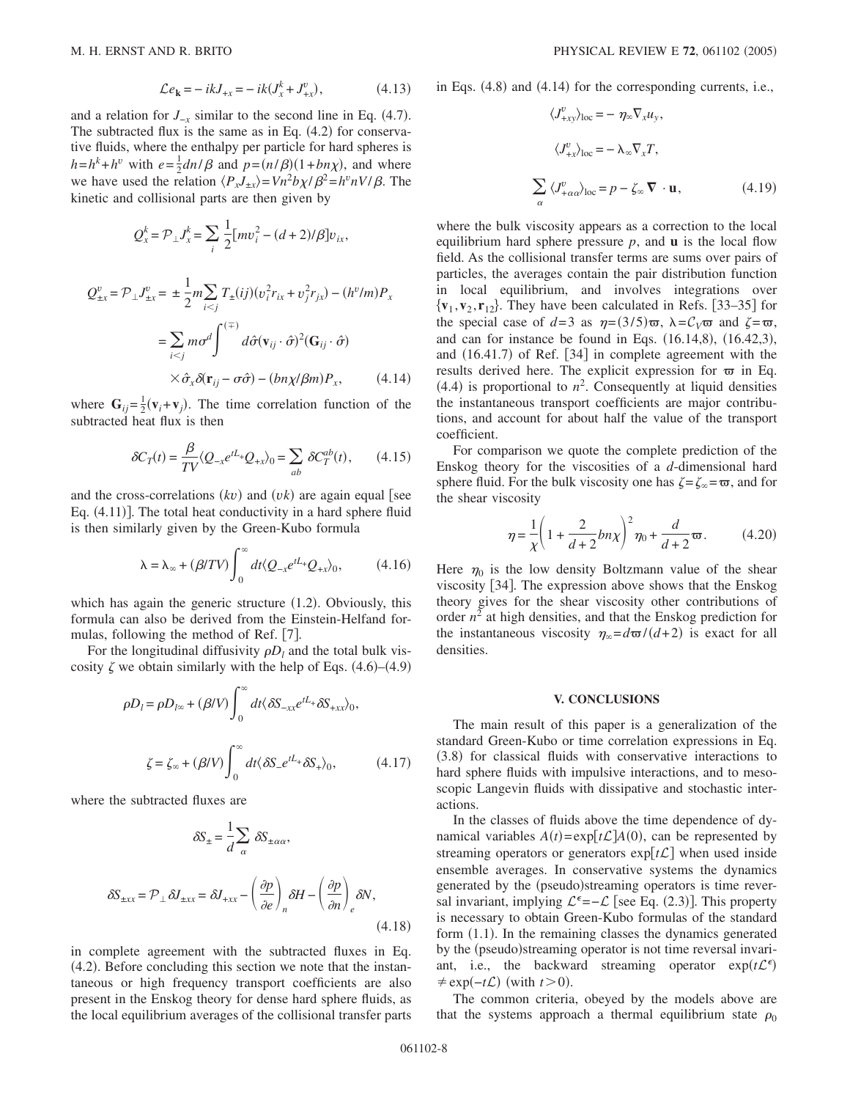$$
\mathcal{L}e_{k} = -ikJ_{+x} = -ik(J_{x}^{k} + J_{+x}^{v}), \qquad (4.13)
$$

and a relation for  $J_{-x}$  similar to the second line in Eq. (4.7). The subtracted flux is the same as in Eq.  $(4.2)$  for conservative fluids, where the enthalpy per particle for hard spheres is  $h=h^k+h^v$  with  $e=\frac{1}{2}dn/\beta$  and  $p=(n/\beta)(1+bn\chi)$ , and where we have used the relation  $\langle P_x J_{\pm x} \rangle = V n^2 b \chi / \beta^2 = h^v n V / \beta$ . The kinetic and collisional parts are then given by

$$
Q_x^k = \mathcal{P}_\perp J_x^k = \sum_i \frac{1}{2} [mv_i^2 - (d+2)/\beta] v_{ix},
$$
  

$$
Q_{\pm x}^v = \mathcal{P}_\perp J_{\pm x}^v = \pm \frac{1}{2} m \sum_{i < j} T_{\pm}(ij) (v_i^2 r_{ix} + v_j^2 r_{jx}) - (h^v/m) P_x
$$
  

$$
= \sum_{i < j} m \sigma^d \int_0^{(\mp)} d\hat{\sigma} (\mathbf{v}_{ij} \cdot \hat{\sigma})^2 (\mathbf{G}_{ij} \cdot \hat{\sigma})
$$
  

$$
\times \hat{\sigma}_x \delta(\mathbf{r}_{ij} - \sigma \hat{\sigma}) - (bn\chi/\beta m) P_x, \qquad (4.14)
$$

where  $G_{ij} = \frac{1}{2}(\mathbf{v}_i + \mathbf{v}_j)$ . The time correlation function of the subtracted heat flux is then

$$
\delta C_T(t) = \frac{\beta}{TV} \langle Q_{-x} e^{tL_x} Q_{+x} \rangle_0 = \sum_{ab} \delta C_T^{ab}(t), \qquad (4.15)
$$

and the cross-correlations  $(kv)$  and  $(vk)$  are again equal [see Eq. (4.11)]. The total heat conductivity in a hard sphere fluid is then similarly given by the Green-Kubo formula

$$
\lambda = \lambda_{\infty} + (\beta/TV) \int_0^{\infty} dt \langle Q_{-x} e^{tL_x} Q_{+x} \rangle_0, \tag{4.16}
$$

which has again the generic structure  $(1.2)$ . Obviously, this formula can also be derived from the Einstein-Helfand formulas, following the method of Ref. [7].

For the longitudinal diffusivity  $\rho D_l$  and the total bulk viscosity  $\zeta$  we obtain similarly with the help of Eqs. (4.6)–(4.9)

$$
\rho D_l = \rho D_{l\infty} + (\beta/V) \int_0^{\infty} dt \langle \delta S_{-xx} e^{iL_{+}} \delta S_{+xx} \rangle_0,
$$
  

$$
\zeta = \zeta_{\infty} + (\beta/V) \int_0^{\infty} dt \langle \delta S_{-} e^{iL_{+}} \delta S_{+} \rangle_0, \qquad (4.17)
$$

where the subtracted fluxes are

$$
\delta S_{\pm} = \frac{1}{d} \sum_{\alpha} \delta S_{\pm \alpha \alpha},
$$

$$
\delta S_{\pm xx} = \mathcal{P}_{\perp} \delta J_{\pm xx} = \delta J_{+xx} - \left(\frac{\partial p}{\partial e}\right)_n \delta H - \left(\frac{\partial p}{\partial n}\right)_e \delta N,
$$
(4.18)

in complete agreement with the subtracted fluxes in Eq. (4.2). Before concluding this section we note that the instantaneous or high frequency transport coefficients are also present in the Enskog theory for dense hard sphere fluids, as the local equilibrium averages of the collisional transfer parts in Eqs. (4.8) and (4.14) for the corresponding currents, i.e.,

$$
\langle J_{+xy}^{v} \rangle_{\text{loc}} = - \eta_{\infty} \nabla_{x} u_{y},
$$

$$
\langle J_{+x}^{v} \rangle_{\text{loc}} = - \lambda_{\infty} \nabla_{x} T,
$$

$$
\sum_{\alpha} \langle J_{+ \alpha \alpha}^{v} \rangle_{\text{loc}} = p - \zeta_{\infty} \nabla \cdot \mathbf{u}, \qquad (4.19)
$$

where the bulk viscosity appears as a correction to the local equilibrium hard sphere pressure *p*, and **u** is the local flow field. As the collisional transfer terms are sums over pairs of particles, the averages contain the pair distribution function in local equilibrium, and involves integrations over  $\{v_1, v_2, r_{12}\}\$ . They have been calculated in Refs. [33–35] for the special case of  $d=3$  as  $\eta = (3/5)\,\overline{\omega}$ ,  $\lambda = C_V\overline{\omega}$  and  $\zeta = \overline{\omega}$ , and can for instance be found in Eqs.  $(16.14,8)$ ,  $(16.42,3)$ , and (16.41.7) of Ref. [34] in complete agreement with the results derived here. The explicit expression for  $\varpi$  in Eq.  $(4.4)$  is proportional to  $n^2$ . Consequently at liquid densities the instantaneous transport coefficients are major contributions, and account for about half the value of the transport coefficient.

For comparison we quote the complete prediction of the Enskog theory for the viscosities of a *d*-dimensional hard sphere fluid. For the bulk viscosity one has  $\zeta = \zeta_{\infty} = \varpi$ , and for the shear viscosity

$$
\eta = \frac{1}{\chi} \left( 1 + \frac{2}{d+2} b n \chi \right)^2 \eta_0 + \frac{d}{d+2} \varpi. \tag{4.20}
$$

Here  $\eta_0$  is the low density Boltzmann value of the shear viscosity  $[34]$ . The expression above shows that the Enskog theory gives for the shear viscosity other contributions of order  $n^2$  at high densities, and that the Enskog prediction for the instantaneous viscosity  $\eta_{\infty} = d\varpi/(d+2)$  is exact for all densities.

#### **V. CONCLUSIONS**

The main result of this paper is a generalization of the standard Green-Kubo or time correlation expressions in Eq. (3.8) for classical fluids with conservative interactions to hard sphere fluids with impulsive interactions, and to mesoscopic Langevin fluids with dissipative and stochastic interactions.

In the classes of fluids above the time dependence of dynamical variables  $A(t) = \exp[t \mathcal{L}]A(0)$ , can be represented by streaming operators or generators  $exp[*t*\mathcal{L}]$  when used inside ensemble averages. In conservative systems the dynamics generated by the (pseudo)streaming operators is time reversal invariant, implying  $\mathcal{L}^{\epsilon} = -\mathcal{L}$  [see Eq. (2.3)]. This property is necessary to obtain Green-Kubo formulas of the standard form (1.1). In the remaining classes the dynamics generated by the (pseudo)streaming operator is not time reversal invariant, i.e., the backward streaming operator  $exp(t\mathcal{L}^{\epsilon})$  $\neq \exp(-t\mathcal{L})$  (with  $t > 0$ ).

The common criteria, obeyed by the models above are that the systems approach a thermal equilibrium state  $\rho_0$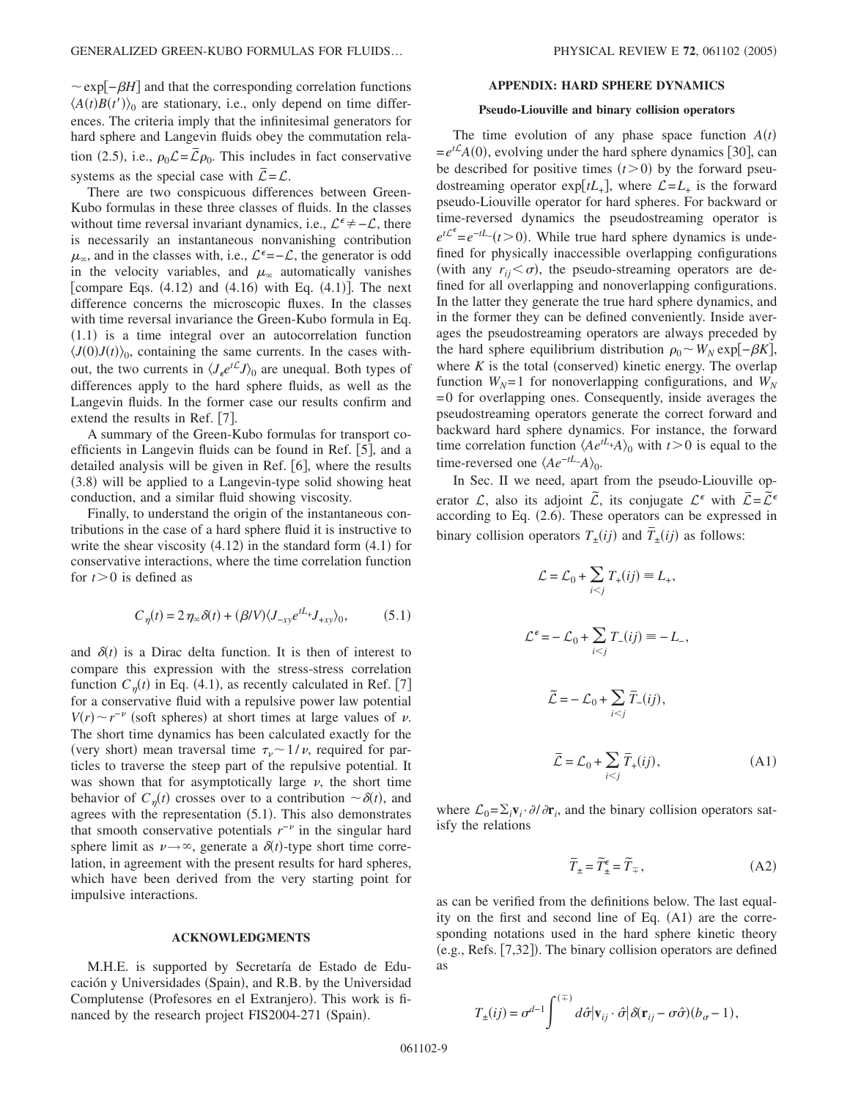$\sim$ exp $|-\beta H|$  and that the corresponding correlation functions  $\langle A(t)B(t')\rangle$ <sup>0</sup> are stationary, i.e., only depend on time differences. The criteria imply that the infinitesimal generators for hard sphere and Langevin fluids obey the commutation relation (2.5), i.e.,  $\rho_0 \mathcal{L} = \overline{\mathcal{L}} \rho_0$ . This includes in fact conservative systems as the special case with  $\overline{L} = \mathcal{L}$ .

There are two conspicuous differences between Green-Kubo formulas in these three classes of fluids. In the classes without time reversal invariant dynamics, i.e.,  $\mathcal{L}^{\epsilon} \neq -\mathcal{L}$ , there is necessarily an instantaneous nonvanishing contribution  $\mu_{\infty}$ , and in the classes with, i.e.,  $\mathcal{L}^{\epsilon} = -\mathcal{L}$ , the generator is odd in the velocity variables, and  $\mu_{\infty}$  automatically vanishes [compare Eqs.  $(4.12)$  and  $(4.16)$  with Eq.  $(4.1)$ ]. The next difference concerns the microscopic fluxes. In the classes with time reversal invariance the Green-Kubo formula in Eq. (1.1) is a time integral over an autocorrelation function  $\langle J(0)J(t)\rangle_0$ , containing the same currents. In the cases without, the two currents in  $\langle J_e e^{t\mathcal{L}} J \rangle_0$  are unequal. Both types of differences apply to the hard sphere fluids, as well as the Langevin fluids. In the former case our results confirm and extend the results in Ref.  $[7]$ .

A summary of the Green-Kubo formulas for transport coefficients in Langevin fluids can be found in Ref. [5], and a detailed analysis will be given in Ref.  $[6]$ , where the results (3.8) will be applied to a Langevin-type solid showing heat conduction, and a similar fluid showing viscosity.

Finally, to understand the origin of the instantaneous contributions in the case of a hard sphere fluid it is instructive to write the shear viscosity  $(4.12)$  in the standard form  $(4.1)$  for conservative interactions, where the time correlation function for  $t>0$  is defined as

$$
C_{\eta}(t) = 2 \eta_{\infty} \delta(t) + (\beta/V) \langle J_{-xy} e^{tL_{+}} J_{+xy} \rangle_{0}, \tag{5.1}
$$

and  $\delta(t)$  is a Dirac delta function. It is then of interest to compare this expression with the stress-stress correlation function  $C_{\eta}(t)$  in Eq. (4.1), as recently calculated in Ref. [7] for a conservative fluid with a repulsive power law potential  $V(r) \sim r^{-\nu}$  (soft spheres) at short times at large values of  $\nu$ . The short time dynamics has been calculated exactly for the (very short) mean traversal time  $\tau_{\nu} \sim 1/\nu$ , required for particles to traverse the steep part of the repulsive potential. It was shown that for asymptotically large  $\nu$ , the short time behavior of  $C_{\eta}(t)$  crosses over to a contribution  $\sim \delta(t)$ , and agrees with the representation (5.1). This also demonstrates that smooth conservative potentials  $r^{-\nu}$  in the singular hard sphere limit as  $\nu \rightarrow \infty$ , generate a  $\delta(t)$ -type short time correlation, in agreement with the present results for hard spheres, which have been derived from the very starting point for impulsive interactions.

# **ACKNOWLEDGMENTS**

M.H.E. is supported by Secretaría de Estado de Educación y Universidades (Spain), and R.B. by the Universidad Complutense (Profesores en el Extranjero). This work is financed by the research project FIS2004-271 (Spain).

# **APPENDIX: HARD SPHERE DYNAMICS**

## **Pseudo-Liouville and binary collision operators**

The time evolution of any phase space function  $A(t)$  $=e^{t\mathcal{L}}A(0)$ , evolving under the hard sphere dynamics [30], can be described for positive times  $(t>0)$  by the forward pseudostreaming operator  $\exp\{tL_+\}$ , where  $\mathcal{L} = L_+$  is the forward pseudo-Liouville operator for hard spheres. For backward or time-reversed dynamics the pseudostreaming operator is  $e^{tL^e} = e^{-tL}$  (*t* > 0). While true hard sphere dynamics is undefined for physically inaccessible overlapping configurations (with any  $r_{ij} < \sigma$ ), the pseudo-streaming operators are defined for all overlapping and nonoverlapping configurations. In the latter they generate the true hard sphere dynamics, and in the former they can be defined conveniently. Inside averages the pseudostreaming operators are always preceded by the hard sphere equilibrium distribution  $ρ_0 ∼ W_N$  exp[−*βK*], where  $K$  is the total (conserved) kinetic energy. The overlap function  $W_N$ =1 for nonoverlapping configurations, and  $W_N$ = 0 for overlapping ones. Consequently, inside averages the pseudostreaming operators generate the correct forward and backward hard sphere dynamics. For instance, the forward time correlation function  $\langle Ae^{tL}+A\rangle_0$  with  $t>0$  is equal to the time-reversed one  $\langle Ae^{-tL}-A\rangle_0$ .

In Sec. II we need, apart from the pseudo-Liouville operator L, also its adjoint  $\tilde{\mathcal{L}}$ , its conjugate  $\mathcal{L}^{\epsilon}$  with  $\bar{\mathcal{L}} = \tilde{\mathcal{L}}^{\epsilon}$ according to Eq. (2.6). These operators can be expressed in binary collision operators  $T_{\pm}(ij)$  and  $\overline{T}_{\pm}(ij)$  as follows:

$$
\mathcal{L} = \mathcal{L}_0 + \sum_{i < j} T_+(ij) \equiv L_+,
$$
\n
$$
\mathcal{L}^{\epsilon} = -\mathcal{L}_0 + \sum_{i < j} T_-(ij) \equiv -L_-,
$$
\n
$$
\widetilde{\mathcal{L}} = -\mathcal{L}_0 + \sum_{i < j} \overline{T}_-(ij),
$$
\n
$$
\overline{\mathcal{L}} = \mathcal{L}_0 + \sum_{i < j} \overline{T}_+(ij), \tag{A1}
$$

where  $\mathcal{L}_0 = \sum_i \mathbf{v}_i \cdot \partial/\partial \mathbf{r}_i$ , and the binary collision operators satisfy the relations

$$
\overline{T}_{\pm} = \widetilde{T}_{\pm}^{\epsilon} = \widetilde{T}_{\mp},\tag{A2}
$$

as can be verified from the definitions below. The last equality on the first and second line of Eq.  $(A1)$  are the corresponding notations used in the hard sphere kinetic theory (e.g., Refs. [7,32]). The binary collision operators are defined as

$$
T_{\pm}(ij) = \sigma^{d-1} \int^{(\mp)} d\hat{\sigma} |\mathbf{v}_{ij} \cdot \hat{\sigma}| \delta(\mathbf{r}_{ij} - \sigma \hat{\sigma})(b_{\sigma} - 1),
$$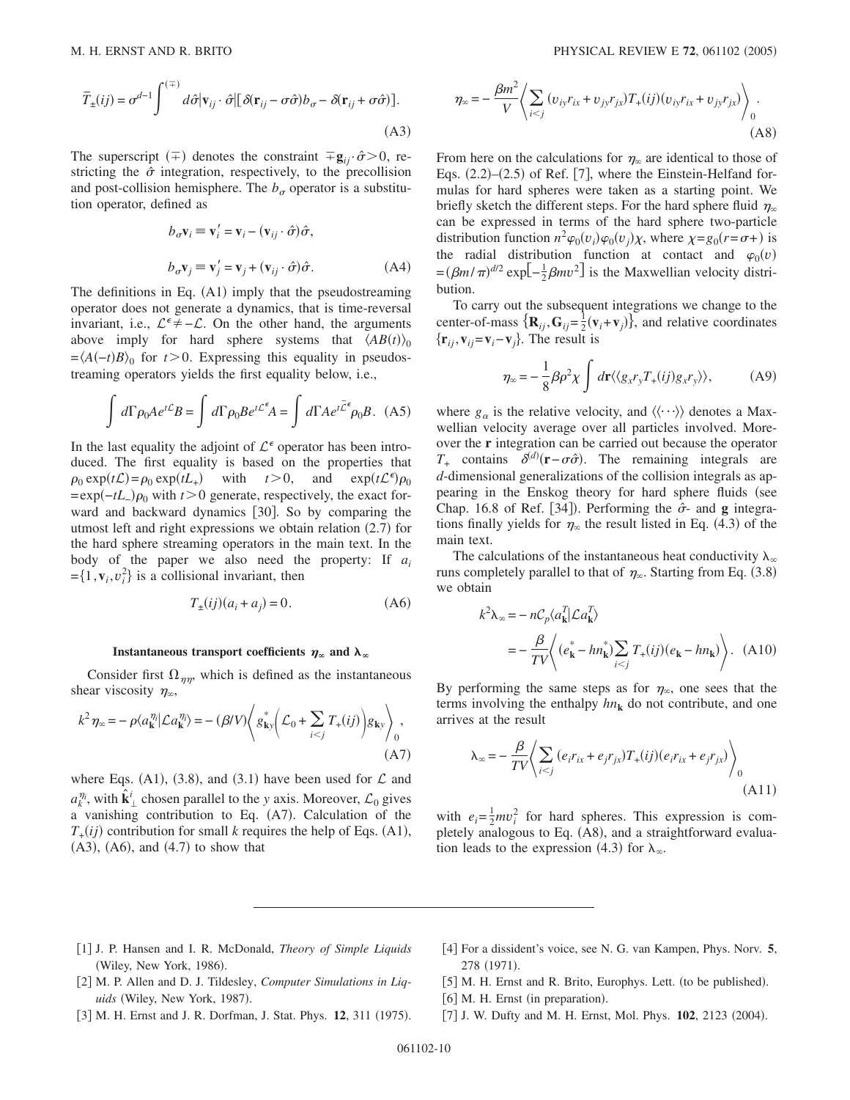$$
\overline{T}_{\pm}(ij) = \sigma^{d-1} \int^{(\mp)} d\hat{\sigma} |\mathbf{v}_{ij} \cdot \hat{\sigma}| [\delta(\mathbf{r}_{ij} - \sigma \hat{\sigma}) b_{\sigma} - \delta(\mathbf{r}_{ij} + \sigma \hat{\sigma})].
$$
\n(A3)

The superscript  $(\pm)$  denotes the constraint  $\pm \mathbf{g}_{ij} \cdot \hat{\sigma} > 0$ , restricting the  $\hat{\sigma}$  integration, respectively, to the precollision and post-collision hemisphere. The  $b_{\sigma}$  operator is a substitution operator, defined as

$$
b_{\sigma} \mathbf{v}_i \equiv \mathbf{v}'_i = \mathbf{v}_i - (\mathbf{v}_{ij} \cdot \hat{\sigma}) \hat{\sigma},
$$
  
\n
$$
b_{\sigma} \mathbf{v}_j \equiv \mathbf{v}'_j = \mathbf{v}_j + (\mathbf{v}_{ij} \cdot \hat{\sigma}) \hat{\sigma}.
$$
 (A4)

The definitions in Eq. (A1) imply that the pseudostreaming operator does not generate a dynamics, that is time-reversal invariant, i.e.,  $\mathcal{L}^{\epsilon} \neq -\mathcal{L}$ . On the other hand, the arguments above imply for hard sphere systems that  $\langle AB(t) \rangle_0$  $=\langle A(-t)B \rangle_0$  for  $t > 0$ . Expressing this equality in pseudostreaming operators yields the first equality below, i.e.,

$$
\int d\Gamma \rho_0 A e^{t\mathcal{L}} B = \int d\Gamma \rho_0 B e^{t\mathcal{L}^{\epsilon}} A = \int d\Gamma A e^{t\overline{\mathcal{L}}^{\epsilon}} \rho_0 B. \quad (A5)
$$

In the last equality the adjoint of  $\mathcal{L}^{\epsilon}$  operator has been introduced. The first equality is based on the properties that  $\rho_0 \exp(t\mathcal{L}) = \rho_0 \exp(tL_+)$  with  $t > 0$ , and  $\exp(t\mathcal{L}^{\epsilon})$  $\exp(t\mathcal{L}^{\epsilon})\rho_0$  $= \exp(-tL_-\rho_0)$  with  $t > 0$  generate, respectively, the exact forward and backward dynamics [30]. So by comparing the utmost left and right expressions we obtain relation (2.7) for the hard sphere streaming operators in the main text. In the body of the paper we also need the property: If *ai*  $=\{1, \mathbf{v}_i, v_i^2\}$  is a collisional invariant, then

$$
T_{\pm}(ij)(a_i + a_j) = 0.
$$
 (A6)

# **Instantaneous transport coefficients**  $\eta_{\infty}$  **and**  $\lambda_{\infty}$

Consider first  $\Omega_{\eta\eta}$ , which is defined as the instantaneous shear viscosity  $\eta_{\infty}$ ,

$$
k^2 \eta_{\infty} = -\rho \langle a_{\mathbf{k}}^{\eta_i} | \mathcal{L} a_{\mathbf{k}}^{\eta_i} \rangle = -(\beta V) \langle g_{\mathbf{k}y}^* \left( \mathcal{L}_0 + \sum_{i < j} T_+(ij) \right) g_{\mathbf{k}y} \rangle_0,
$$
\n(A7)

where Eqs. (A1), (3.8), and (3.1) have been used for  $\mathcal L$  and  $a_k^{\eta_i}$ , with  $\hat{\mathbf{k}}_{\perp}^i$  chosen parallel to the *y* axis. Moreover,  $\mathcal{L}_0$  gives a vanishing contribution to Eq. (A7). Calculation of the  $T_{+}(ij)$  contribution for small *k* requires the help of Eqs. (A1),  $(A3)$ ,  $(A6)$ , and  $(A.7)$  to show that

$$
\eta_{\infty} = -\frac{\beta m^2}{V} \left\langle \sum_{i < j} (v_{ij} r_{ix} + v_{jj} r_{jx}) T_{+}(ij) (v_{ij} r_{ix} + v_{jj} r_{jx}) \right\rangle_0.
$$
\n(A8)

From here on the calculations for  $\eta_{\infty}$  are identical to those of Eqs.  $(2.2)$ – $(2.5)$  of Ref. [7], where the Einstein-Helfand formulas for hard spheres were taken as a starting point. We briefly sketch the different steps. For the hard sphere fluid  $\eta_{\infty}$ can be expressed in terms of the hard sphere two-particle distribution function  $n^2 \varphi_0(v_i) \varphi_0(v_j) \chi$ , where  $\chi = g_0(r = \sigma + )$  is the radial distribution function at contact and  $\varphi_0(v)$  $=(\beta m/\pi)^{d/2}$  exp $\left[-\frac{1}{2}\beta m v^2\right]$  is the Maxwellian velocity distribution.

To carry out the subsequent integrations we change to the center-of-mass  $\{ \mathbf{R}_{ij}, \mathbf{G}_{ij} = \frac{1}{2} (\mathbf{v}_i + \mathbf{v}_j) \}$ , and relative coordinates  $\{r_{ii}, v_{ii} = v_i - v_i\}$ . The result is

$$
\eta_{\infty} = -\frac{1}{8} \beta \rho^2 \chi \int d\mathbf{r} \langle \langle g_x r_y T_+(ij) g_x r_y \rangle \rangle, \tag{A9}
$$

where  $g_{\alpha}$  is the relative velocity, and  $\langle \langle \cdots \rangle \rangle$  denotes a Maxwellian velocity average over all particles involved. Moreover the **r** integration can be carried out because the operator  $T_{+}$  contains  $\delta^{(d)}(\mathbf{r} - \sigma \hat{\sigma})$ . The remaining integrals are *d*-dimensional generalizations of the collision integrals as appearing in the Enskog theory for hard sphere fluids (see Chap. 16.8 of Ref. [34]). Performing the  $\hat{\sigma}$ - and **g** integrations finally yields for  $\eta_{\infty}$  the result listed in Eq. (4.3) of the main text.

The calculations of the instantaneous heat conductivity  $\lambda_{\infty}$ runs completely parallel to that of  $\eta_{\infty}$ . Starting from Eq. (3.8) we obtain

$$
k^2 \lambda_{\infty} = -nC_p \langle a_{\mathbf{k}}^T | \mathcal{L} a_{\mathbf{k}}^T \rangle
$$
  
=  $-\frac{\beta}{TV} \langle (e_{\mathbf{k}}^* - h n_{\mathbf{k}}^*) \sum_{i < j} T_+(ij) (e_{\mathbf{k}} - h n_{\mathbf{k}}) \rangle$ . (A10)

By performing the same steps as for  $\eta_{\infty}$ , one sees that the terms involving the enthalpy  $hn_k$  do not contribute, and one arrives at the result

$$
\lambda_{\infty} = -\frac{\beta}{TV} \left\langle \sum_{i < j} \left( e_i r_{ix} + e_j r_{jx} \right) T_+(ij) \left( e_i r_{ix} + e_j r_{jx} \right) \right\rangle_0 \tag{A11}
$$

with  $e_i = \frac{1}{2}mv_i^2$  for hard spheres. This expression is completely analogous to Eq. (A8), and a straightforward evaluation leads to the expression (4.3) for  $\lambda_{\infty}$ .

- 1 J. P. Hansen and I. R. McDonald, *Theory of Simple Liquids* (Wiley, New York, 1986).
- 4 For a dissident's voice, see N. G. van Kampen, Phys. Norv. **5**, 278 (1971).
- [2] M. P. Allen and D. J. Tildesley, *Computer Simulations in Liq*uids (Wiley, New York, 1987).
- [3] M. H. Ernst and J. R. Dorfman, J. Stat. Phys. 12, 311 (1975).
- [5] M. H. Ernst and R. Brito, Europhys. Lett. (to be published).
- [6] M. H. Ernst (in preparation).
- [7] J. W. Dufty and M. H. Ernst, Mol. Phys. 102, 2123 (2004).